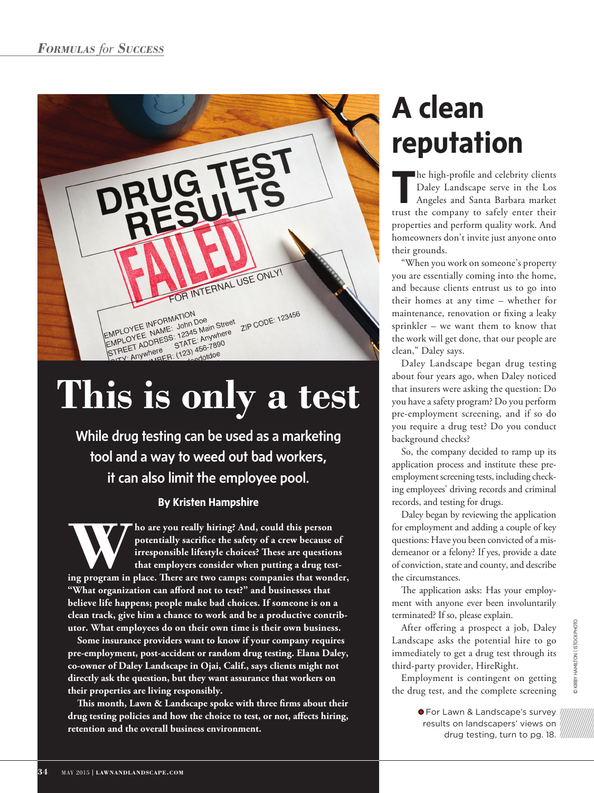

While drug testing can be used as a marketing tool and a way to weed out bad workers, it can also limit the employee pool.

# **By Kristen Hampshire**

**WERENDER THE MANUSTER CONTROVER THE MANUSTER CONTROVIDED SET AND POSERVIDED SET AND PROPERTY INTERPRETAIN THE ARE APPROXIMATE SUBSERVIDED AND THE APPROXIMATE SUBSERVIDED AND THE APPROXIMATE SUBSERVIDED AND THE APPROXIMATE potentially sacrifice the safety of a crew because of irresponsible lifestyle choices? These are questions that employers consider when putting a drug test-"What organization can afford not to test?" and businesses that believe life happens; people make bad choices. If someone is on a clean track, give him a chance to work and be a productive contributor. What employees do on their own time is their own business.**

**Some insurance providers want to know if your company requires pre-employment, post-accident or random drug testing. Elana Daley, co-owner of Daley Landscape in Ojai, Calif., says clients might not directly ask the question, but they want assurance that workers on their properties are living responsibly.** 

**This month, Lawn & Landscape spoke with three firms about their drug testing policies and how the choice to test, or not, affects hiring, retention and the overall business environment.**

# **A clean reputation**

**T** he high-profile and celebrity clients Daley Landscape serve in the Los Angeles and Santa Barbara market trust the company to safely enter their properties and perform quality work. And homeowners don't invite just anyone onto their grounds.

"When you work on someone's property you are essentially coming into the home, and because clients entrust us to go into their homes at any time – whether for maintenance, renovation or fixing a leaky sprinkler – we want them to know that the work will get done, that our people are clean," Daley says.

Daley Landscape began drug testing about four years ago, when Daley noticed that insurers were asking the question: Do you have a safety program? Do you perform pre-employment screening, and if so do you require a drug test? Do you conduct background checks?

So, the company decided to ramp up its application process and institute these preemployment screening tests, including checking employees' driving records and criminal records, and testing for drugs.

Daley began by reviewing the application for employment and adding a couple of key questions: Have you been convicted of a misdemeanor or a felony? If yes, provide a date of conviction, state and county, and describe the circumstances.

The application asks: Has your employment with anyone ever been involuntarily terminated? If so, please explain.

After offering a prospect a job, Daley Landscape asks the potential hire to go immediately to get a drug test through its third-party provider, HireRight.

Employment is contingent on getting the drug test, and the complete screening

> **•** For Lawn & Landscape's survey results on landscapers' views on drug testing, turn to pg. 18.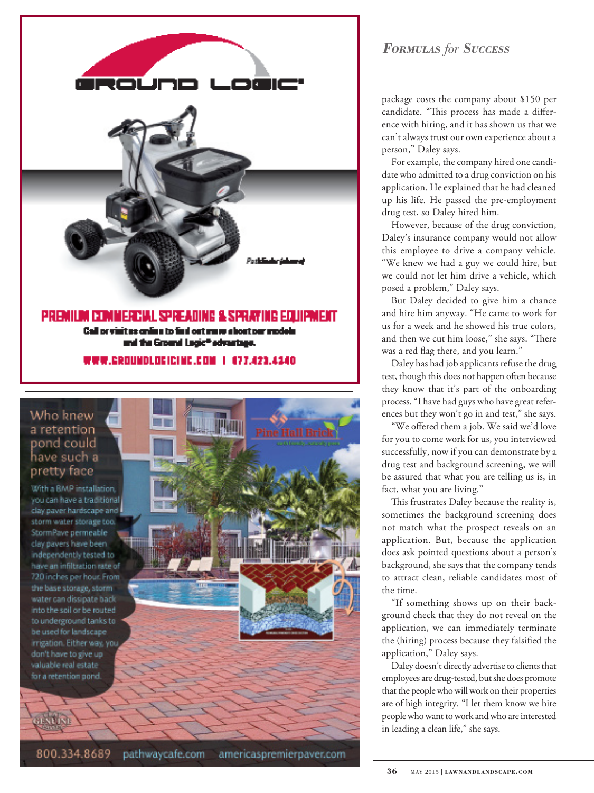

# Who knew a retention pond could have such a pretty face

With a BMP installation. you can have a traditional clay paver hardscape and storm water storage too. StormPave permeable clay payers have been independently tested to have an infiltration rate of 720 inches per hour. From the base storage, storm water can dissipate back into the soil or be routed to underground tanks to be used for landscape irrigation. Either way, you don't have to give up valuable real estate for a retention pond.

### 800.334.8689 pathwaycafe.com americaspremierpaver.com

# *Formulas for Success*

package costs the company about \$150 per candidate. "This process has made a difference with hiring, and it has shown us that we can't always trust our own experience about a person," Daley says.

For example, the company hired one candidate who admitted to a drug conviction on his application. He explained that he had cleaned up his life. He passed the pre-employment drug test, so Daley hired him.

However, because of the drug conviction, Daley's insurance company would not allow this employee to drive a company vehicle. "We knew we had a guy we could hire, but we could not let him drive a vehicle, which posed a problem," Daley says.

But Daley decided to give him a chance and hire him anyway. "He came to work for us for a week and he showed his true colors, and then we cut him loose," she says. "There was a red flag there, and you learn."

Daley has had job applicants refuse the drug test, though this does not happen often because they know that it's part of the onboarding process. "I have had guys who have great references but they won't go in and test," she says.

"We offered them a job. We said we'd love for you to come work for us, you interviewed successfully, now if you can demonstrate by a drug test and background screening, we will be assured that what you are telling us is, in fact, what you are living."

This frustrates Daley because the reality is, sometimes the background screening does not match what the prospect reveals on an application. But, because the application does ask pointed questions about a person's background, she says that the company tends to attract clean, reliable candidates most of the time.

"If something shows up on their background check that they do not reveal on the application, we can immediately terminate the (hiring) process because they falsified the application," Daley says.

Daley doesn't directly advertise to clients that employees are drug-tested, but she does promote that the people who will work on their properties are of high integrity. "I let them know we hire people who want to work and who are interested in leading a clean life," she says.